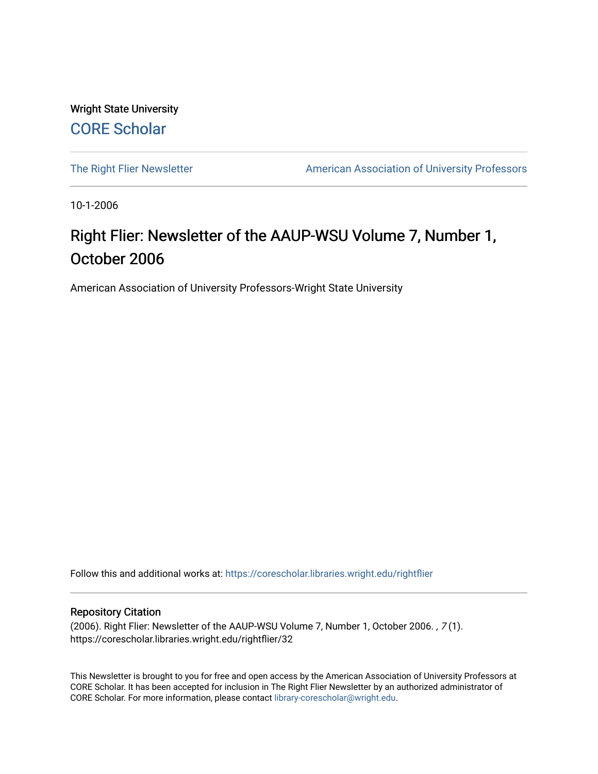Wright State University [CORE Scholar](https://corescholar.libraries.wright.edu/)

[The Right Flier Newsletter](https://corescholar.libraries.wright.edu/rightflier) **American Association of University Professors** 

10-1-2006

# Right Flier: Newsletter of the AAUP-WSU Volume 7, Number 1, October 2006

American Association of University Professors-Wright State University

Follow this and additional works at: [https://corescholar.libraries.wright.edu/rightflier](https://corescholar.libraries.wright.edu/rightflier?utm_source=corescholar.libraries.wright.edu%2Frightflier%2F32&utm_medium=PDF&utm_campaign=PDFCoverPages) 

#### Repository Citation

(2006). Right Flier: Newsletter of the AAUP-WSU Volume 7, Number 1, October 2006. , 7 (1). https://corescholar.libraries.wright.edu/rightflier/32

This Newsletter is brought to you for free and open access by the American Association of University Professors at CORE Scholar. It has been accepted for inclusion in The Right Flier Newsletter by an authorized administrator of CORE Scholar. For more information, please contact [library-corescholar@wright.edu](mailto:library-corescholar@wright.edu).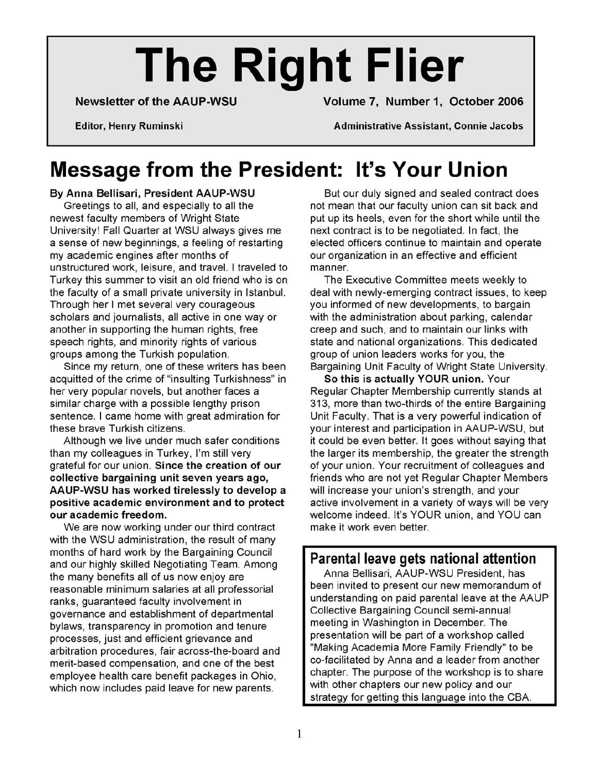# **The Right Flier**

Newsletter of the AAUP-WSU Volume 7, Number 1, October 2006

Editor, Henry Ruminski Administrative Assistant, Connie Jacobs

# **Message from the President: It's Your Union**

By Anna Bellisari, President AAUP-WSU

Greetings to all, and especially to all the newest faculty members of Wright State University! Fall Quarter at WSU always gives me a sense of new beginnings, a feeling of restarting my academic engines after months of unstructured work, leisure, and travel. I traveled to Turkey this summer to visit an old friend who is on the faculty of a small private university in Istanbul. Through her I met several very courageous scholars and journalists, all active in one way or another in supporting the human rights, free speech rights, and minority rights of various groups among the Turkish population.

Since my return, one of these writers has been acquitted of the crime of "insulting Turkishness" in her very popular novels, but another faces a similar charge with a possible lengthy prison sentence. I came home with great admiration for these brave Turkish citizens.

Although we live under much safer conditions than my colleagues in Turkey, I'm still very grateful for our union. Since the creation of our collective bargaining unit seven years ago, AAUP-WSU has worked tirelessly to develop a positive academic environment and to protect our academic freedom.

We are now working under our third contract with the WSU administration, the result of many months of hard work by the Bargaining Council and our highly skilled Negotiating Team. Among the many benefits all of us now enjoy are reasonable minimum salaries at all professorial ranks, guaranteed faculty involvement in governance and establishment of departmental bylaws, transparency in promotion and tenure processes, just and efficient grievance and arbitration procedures, fair across-the-board and merit-based compensation, and one of the best employee health care benefit packages in Ohio, which now includes paid leave for new parents.

But our duly signed and sealed contract does not mean that our faculty union can sit back and put up its heels, even for the short while until the next contract is to be negotiated. In fact, the elected officers continue to maintain and operate our organization in an effective and efficient manner.

The Executive Committee meets weekly to deal with newly-emerging contract issues, to keep you informed of new developments, to bargain with the administration about parking, calendar creep and such, and to maintain our links with state and national organizations. This dedicated group of union leaders works for you, the Bargaining Unit Faculty of Wright State University.

So this is actually YOUR union. Your Regular Chapter Membership currently stands at 313, more than two-thirds of the entire Bargaining Unit Faculty. That is a very powerful indication of your interest and participation in AAUP-WSU, but it could be even better. It goes without saying that the larger its membership, the greater the strength of your union. Your recruitment of colleagues and friends who are not yet Regular Chapter Members will increase your union's strength, and your active involvement in a variety of ways will be very welcome indeed. It's YOUR union, and YOU can make it work even better.

### Parental leave gets national attention

Anna Bellisari, AAUP-WSU President, has been invited to present our new memorandum of understanding on paid parental leave at the AAUP Collective Bargaining Council semi-annual meeting in Washington in December. The presentation will be part of a workshop called "Making Academia More Family Friendly" to be co-facilitated by Anna and a leader from another chapter. The purpose of the workshop is to share with other chapters our new policy and our strategy for getting this language into the CBA.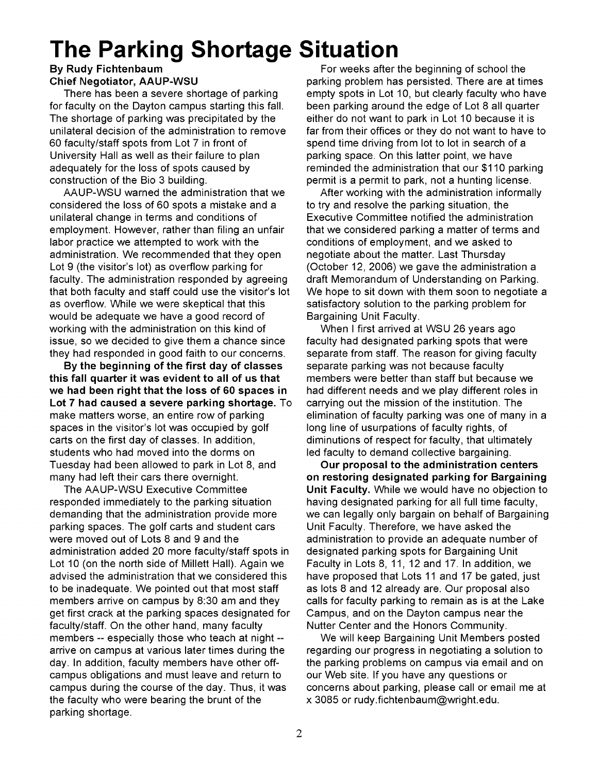# **The Parking Shortage Situation**

#### By Rudy Fichtenbaum Chief Negotiator, AAUP-WSU

There has been a severe shortage of parking for faculty on the Dayton campus starting this fall. The shortage of parking was precipitated by the unilateral decision of the administration to remove 60 faculty/staff spots from Lot 7 in front of University Hall as well as their failure to plan adequately for the loss of spots caused by construction of the Bio 3 building.

AAUP-WSU warned the administration that we considered the loss of 60 spots a mistake and a unilateral change in terms and conditions of employment. However, rather than filing an unfair labor practice we attempted to work with the administration. We recommended that they open Lot 9 (the visitor's lot) as overflow parking for faculty. The administration responded by agreeing that both faculty and staff could use the visitor's lot as overflow. While we were skeptical that this would be adequate we have a good record of working with the administration on this kind of issue, so we decided to give them a chance since they had responded in good faith to our concerns.

By the beginning of the first day of classes this fall quarter it was evident to all of us that we had been right that the loss of 60 spaces in Lot 7 had caused a severe parking shortage. To make matters worse, an entire row of parking spaces in the visitor's lot was occupied by golf carts on the first day of classes. In addition, students who had moved into the dorms on Tuesday had been allowed to park in Lot 8, and many had left their cars there overnight.

The AAUP-WSU Executive Committee responded immediately to the parking situation demanding that the administration provide more parking spaces. The golf carts and student cars were moved out of Lots 8 and 9 and the administration added 20 more faculty/staff spots in Lot 10 (on the north side of Millett Hall). Again we advised the administration that we considered this to be inadequate. We pointed out that most staff members arrive on campus by 8:30 am and they get first crack at the parking spaces designated for faculty/staff. On the other hand, many faculty members -- especially those who teach at night arrive on campus at various later times during the day. In addition, faculty members have other offcampus obligations and must leave and return to campus during the course of the day. Thus, it was the faculty who were bearing the brunt of the parking shortage.

For weeks after the beginning of school the parking problem has persisted. There are at times empty spots in Lot 10, but clearly faculty who have been parking around the edge of Lot 8 all quarter either do not want to park in Lot 10 because it is far from their offices or they do not want to have to spend time driving from lot to lot in search of a parking space. On this latter point, we have reminded the administration that our \$110 parking permit is a permit to park, not a hunting license.

After working with the administration informally to try and resolve the parking situation, the Executive Committee notified the administration that we considered parking a matter of terms and conditions of employment, and we asked to negotiate about the matter. Last Thursday (October 12, 2006) we gave the administration a draft Memorandum of Understanding on Parking. We hope to sit down with them soon to negotiate a satisfactory solution to the parking problem for Bargaining Unit Faculty.

When I first arrived at WSU 26 years ago faculty had designated parking spots that were separate from staff. The reason for giving faculty separate parking was not because faculty members were better than staff but because we had different needs and we play different roles in carrying out the mission of the institution. The elimination of faculty parking was one of many in a long line of usurpations of faculty rights, of diminutions of respect for faculty, that ultimately led faculty to demand collective bargaining.

Our proposal to the administration centers on restoring designated parking for Bargaining Unit Faculty. While we would have no objection to having designated parking for all full time faculty, we can legally only bargain on behalf of Bargaining Unit Faculty. Therefore, we have asked the administration to provide an adequate number of designated parking spots for Bargaining Unit Faculty in Lots 8, 11, 12 and 17. In addition, we have proposed that Lots 11 and 17 be gated, just as lots 8 and 12 already are. Our proposal also calls for faculty parking to remain as is at the Lake Campus, and on the Dayton campus near the Nutter Center and the Honors Community.

We will keep Bargaining Unit Members posted regarding our progress in negotiating a solution to the parking problems on campus via email and on our Web site. If you have any questions or concerns about parking, please call or email me at x 3085 or rudy.fichtenbaum@wright.edu.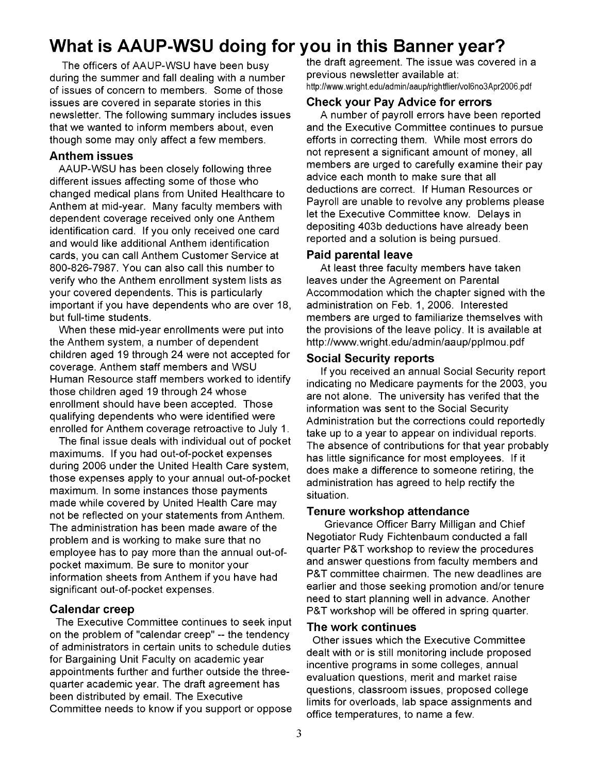# **What is AAUP-WSU doing for you in this Banner year?**

The officers of AAUP-WSU have been busy during the summer and fall dealing with a number of issues of concern to members. Some of those issues are covered in separate stories in this newsletter. The following summary includes issues that we wanted to inform members about, even though some may only affect a few members.

#### **Anthem issues**

AAUP-WSU has been closely following three different issues affecting some of those who changed medical plans from United Healthcare to Anthem at mid-year. Many faculty members with dependent coverage received only one Anthem identification card. If you only received one card and would like additional Anthem identification cards, you can call Anthem Customer Service at 800-826-7987. You can also call this number to verify who the Anthem enrollment system lists as your covered dependents. This is particularly important if you have dependents who are over 18, but full-time students.

When these mid-year enrollments were put into the Anthem system, a number of dependent children aged 19 through 24 were not accepted for coverage. Anthem staff members and WSU Human Resource staff members worked to identify those children aged 19 through 24 whose enrollment should have been accepted. Those qualifying dependents who were identified were enrolled for Anthem coverage retroactive to July 1.

The final issue deals with individual out of pocket maximums. If you had out-of-pocket expenses during 2006 under the United Health Care system, those expenses apply to your annual out-of-pocket maximum. In some instances those payments made while covered by United Health Care may not be reflected on your statements from Anthem. The administration has been made aware of the problem and is working to make sure that no employee has to pay more than the annual out-ofpocket maximum. Be sure to monitor your information sheets from Anthem if you have had significant out-of-pocket expenses.

#### **Calendar creep**

The Executive Committee continues to seek input on the problem of "calendar creep" -- the tendency of administrators in certain units to schedule duties for Bargaining Unit Faculty on academic year appointments further and further outside the threequarter academic year. The draft agreement has been distributed by email. The Executive Committee needs to know if you support or oppose the draft agreement. The issue was covered in a previous newsletter available at: http://www.wright.edu/admin/aauplrightflier/voI6no3Apr2006.pdf

#### **Check your Pay Advice for errors**

A number of payroll errors have been reported and the Executive Committee continues to pursue efforts in correcting them. While most errors do not represent a significant amount of money, all members are urged to carefully examine their pay advice each month to make sure that all deductions are correct. If Human Resources or Payroll are unable to revolve any problems please let the Executive Committee know. Delays in depositing 403b deductions have already been reported and a solution is being pursued.

#### **Paid parental leave**

At least three faculty members have taken leaves under the Agreement on Parental Accommodation which the chapter signed with the administration on Feb. 1, 2006. Interested members are urged to familiarize themselves with the provisions of the leave policy. It is available at http://www.wright.edu/admin/aaup/pplmou.pdf

#### **Social Security reports**

If you received an annual Social Security report indicating no Medicare payments for the 2003, you are not alone. The university has verifed that the information was sent to the Social Security Administration but the corrections could reportedly take up to a year to appear on individual reports. The absence of contributions for that year probably has little significance for most employees. If it does make a difference to someone retiring, the administration has agreed to help rectify the situation.

#### **Tenure workshop attendance**

Grievance Officer Barry Milligan and Chief Negotiator Rudy Fichtenbaum conducted a fall quarter P&T workshop to review the procedures and answer questions from faculty members and P&T committee chairmen. The new deadlines are earlier and those seeking promotion and/or tenure need to start planning well in advance. Another P&T workshop will be offered in spring quarter.

#### **The work continues**

Other issues which the Executive Committee dealt with or is still monitoring include proposed incentive programs in some colleges, annual evaluation questions, merit and market raise questions, classroom issues, proposed college limits for overloads, lab space assignments and office temperatures, to name a few.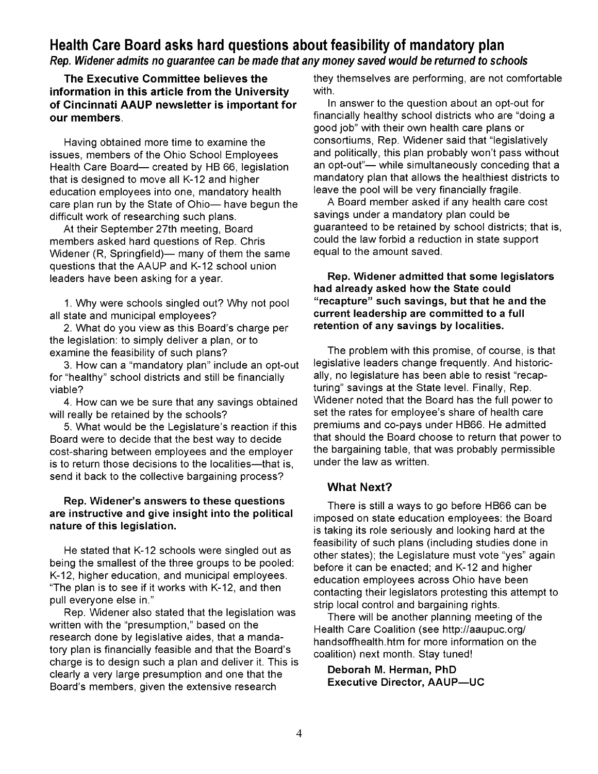### Health Care Board asks hard questions about feasibility of mandatory plan

#### Rep. Widener admits no guarantee can be made that any money saved would be returned to schools

The Executive Committee believes the information in this article from the University of Cincinnati AAUP newsletter is important for our members.

Having obtained more time to examine the issues, members of the Ohio School Employees Health Care Board- created by HB 66, legislation that is designed to move all K-12 and higher education employees into one, mandatory health care plan run by the State of Ohio- have begun the difficult work of researching such plans.

At their September 27th meeting, Board members asked hard questions of Rep. Chris Widener (R, Springfield)- many of them the same questions that the AAUP and K-12 school union leaders have been asking for a year.

1. Why were schools singled out? Why not pool all state and municipal employees?

2. What do you view as this Board's charge per the legislation: to simply deliver a plan, or to examine the feasibility of such plans?

3. How can a "mandatory plan" include an opt-out for "healthy" school districts and still be financially viable?

4. How can we be sure that any savings obtained will really be retained by the schools?

5. What would be the Legislature's reaction if this Board were to decide that the best way to decide cost-sharing between employees and the employer is to return those decisions to the localities-that is, send it back to the collective bargaining process?

#### Rep. Widener's answers to these questions are instructive and give insight into the political nature of this legislation.

He stated that K-12 schools were singled out as being the smallest of the three groups to be pooled: K-12, higher education, and municipal employees. "The plan is to see if it works with K-12, and then pull everyone else in."

Rep. Widener also stated that the legislation was written with the "presumption," based on the research done by legislative aides, that a mandatory plan is financially feasible and that the Board's charge is to design such a plan and deliver it. This is clearly a very large presumption and one that the Board's members, given the extensive research

they themselves are performing, are not comfortable with.

In answer to the question about an opt-out for financially healthy school districts who are "doing a good job" with their own health care plans or consortiums, Rep. Widener said that "legislatively and politically, this plan probably won't pass without an opt-out"- while simultaneously conceding that a mandatory plan that allows the healthiest districts to leave the pool will be very financially fragile.

A Board member asked if any health care cost savings under a mandatory plan could be guaranteed to be retained by school districts; that is, could the law forbid a reduction in state support equal to the amount saved.

#### Rep. Widener admitted that some legislators had already asked how the State could "recapture" such savings, but that he and the current leadership are committed to a full retention of any savings by localities.

The problem with this promise, of course, is that legislative leaders change frequently. And historically, no legislature has been able to resist "recapturing" savings at the State level. Finally, Rep. Widener noted that the Board has the full power to set the rates for employee's share of health care premiums and co-pays under HB66. He admitted that should the Board choose to return that power to the bargaining table, that was probably permissible under the law as written.

#### What Next?

There is still a ways to go before HB66 can be imposed on state education employees: the Board is taking its role seriously and looking hard at the feasibility of such plans (including studies done in other states); the Legislature must vote "yes" again before it can be enacted; and K-12 and higher education employees across Ohio have been contacting their legislators protesting this attempt to strip local control and bargaining rights.

There will be another planning meeting of the Health Care Coalition (see http://aaupuc.org/ handsoffhealth.htm for more information on the coalition) next month. Stay tuned!

Deborah M. Herman, PhD Executive Director, AAUP-UC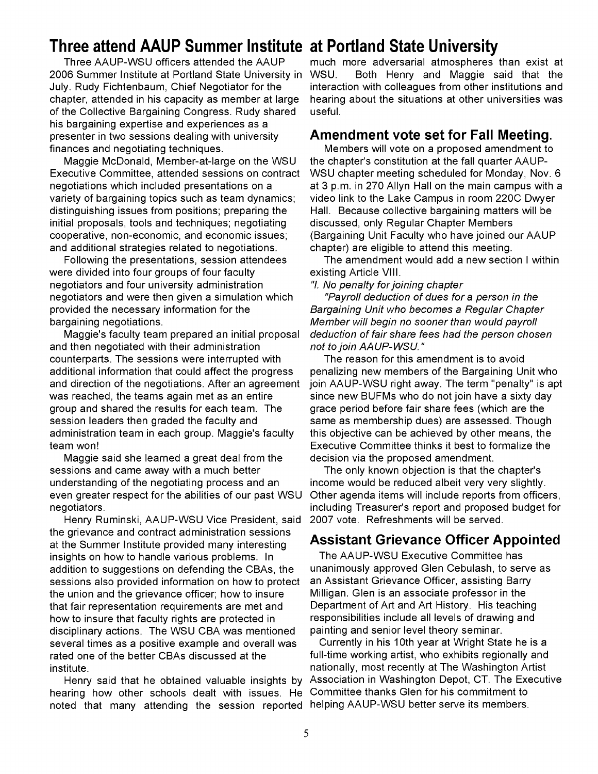# **Three attend AAUP Summer Institute at Portland State University**

Three AAUP-WSU officers attended the AAUP 2006 Summer Institute at Portland State University in July. Rudy Fichtenbaum, Chief Negotiator for the chapter, attended in his capacity as member at large of the Collective Bargaining Congress. Rudy shared his bargaining expertise and experiences as a presenter in two sessions dealing with university finances and negotiating techniques.

Maggie McDonald, Member-at-Iarge on the WSU Executive Committee, attended sessions on contract negotiations which included presentations on a variety of bargaining topics such as team dynamics; distinguishing issues from positions; preparing the initial proposals, tools and techniques; negotiating cooperative, non-economic, and economic issues; and additional strategies related to negotiations.

Following the presentations, session attendees were divided into four groups of four faculty negotiators and four university administration negotiators and were then given a simulation which provided the necessary information for the bargaining negotiations.

Maggie's faculty team prepared an initial proposal and then negotiated with their administration counterparts. The sessions were interrupted with additional information that could affect the progress and direction of the negotiations. After an agreement was reached, the teams again met as an entire group and shared the results for each team. The session leaders then graded the faculty and administration team in each group. Maggie's faculty team won!

Maggie said she learned a great deal from the sessions and came away with a much better understanding of the negotiating process and an even greater respect for the abilities of our past WSU negotiators.

Henry Ruminski, AAUP-WSU Vice President, said the grievance and contract administration sessions at the Summer Institute provided many interesting insights on how to handle various problems. In addition to suggestions on defending the CBAs, the sessions also provided information on how to protect the union and the grievance officer; how to insure that fair representation requirements are met and how to insure that faculty rights are protected in disciplinary actions. The WSU CBA was mentioned several times as a positive example and overall was rated one of the better CBAs discussed at the institute.

Henry said that he obtained valuable insights by hearing how other schools dealt with issues. He noted that many attending the session reported helping AAUP-WSU better serve its members.

much more adversarial atmospheres than exist at WSU. Both Henry and Maggie said that the interaction with colleagues from other institutions and hearing about the situations at other universities was useful.

#### **Amendment vote set for Fall Meeting.**

Members will vote on a proposed amendment to the chapter's constitution at the fall quarter AAUP-WSU chapter meeting scheduled for Monday, Nov. 6 at 3 p.m. in 270 Allyn Hall on the main campus with a video link to the Lake Campus in room 220C Dwyer Hall. Because collective bargaining matters will be discussed, only Regular Chapter Members (Bargaining Unit Faculty who have joined our AAUP chapter) are eligible to attend this meeting.

The amendment would add a new section I within existing Article VIII.

"I. No penalty for joining chapter

"Payroll deduction of dues for a person in the Bargaining Unit who becomes a Regular Chapter Member will begin no sooner than would payroll deduction of fair share fees had the person chosen not to join AAUP-WSU. "

The reason for this amendment is to avoid penalizing new members of the Bargaining Unit who join AAUP-WSU right away. The term "penalty" is apt since new BUFMs who do not join have a sixty day grace period before fair share fees (which are the same as membership dues) are assessed. Though this objective can be achieved by other means, the Executive Committee thinks it best to formalize the decision via the proposed amendment.

The only known objection is that the chapter's income would be reduced albeit very very slightly. Other agenda items will include reports from officers, including Treasurer's report and proposed budget for 2007 vote. Refreshments will be served.

#### **Assistant Grievance Officer Appointed**

The AAUP-WSU Executive Committee has unanimously approved Glen Cebulash, to serve as an Assistant Grievance Officer, assisting Barry Milligan. Glen is an associate professor in the Department of Art and Art History. His teaching responsibilities include all levels of drawing and painting and senior level theory seminar.

Currently in his 10th year at Wright State he is a full-time working artist, who exhibits regionally and nationally, most recently at The Washington Artist Association in Washington Depot, CT. The Executive Committee thanks Glen for his commitment to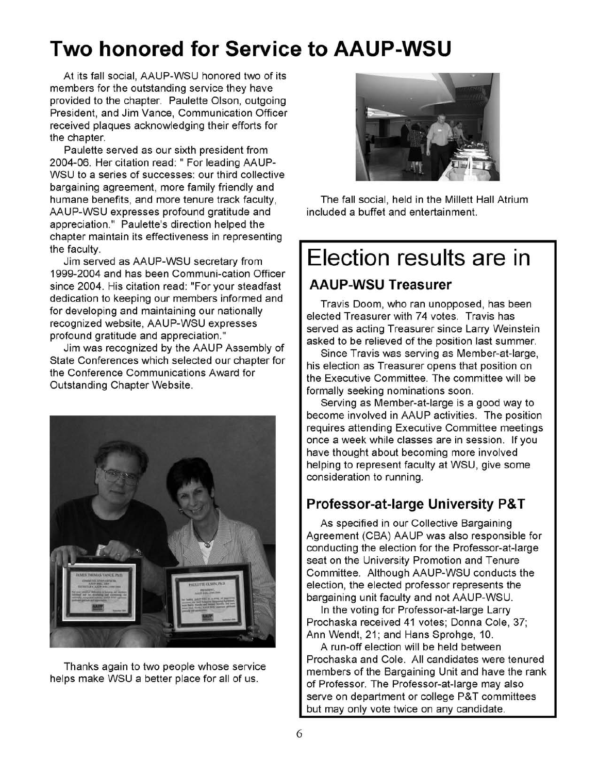# **Two honored for Service to AAUP-WSU**

At its fall social, AAUP-WSU honored two of its members for the outstanding service they have provided to the chapter. Paulette Olson, outgoing President, and Jim Vance, Communication Officer received plaques acknowledging their efforts for the chapter.

Paulette served as our sixth president from 2004-06. Her citation read: " For leading AAUP-WSU to a series of successes: our third collective bargaining agreement, more family friendly and humane benefits, and more tenure track faculty, AAUP-WSU expresses profound gratitude and appreciation." Paulette's direction helped the chapter maintain its effectiveness in representing the faculty.

Jim served as AAUP-WSU secretary from 1999-2004 and has been Communi-cation Officer since 2004. His citation read: "For your steadfast dedication to keeping our members informed and for developing and maintaining our nationally recognized website, AAUP-WSU expresses profound gratitude and appreciation."

Jim was recognized by the AAUP Assembly of State Conferences which selected our chapter for the Conference Communications Award for Outstanding Chapter Website.



Thanks again to two people whose service helps make WSU a better place for all of us.



The fall social, held in the Millett Hall Atrium included a buffet and entertainment.

# **Election results are in**

### **AAUP-WSU Treasurer**

Travis Doom, who ran unopposed, has been elected Treasurer with 74 votes. Travis has served as acting Treasurer since Larry Weinstein asked to be relieved of the position last summer.

Since Travis was serving as Member-at-Iarge, his election as Treasurer opens that position on the Executive Committee. The committee will be formally seeking nominations soon.

Serving as Member-at-Iarge is a good way to become involved in AAUP activities. The position requires attending Executive Committee meetings once a week while classes are in session. If you have thought about becoming more involved helping to represent faculty at WSU, give some consideration to running.

### **Professor-at-Iarge University P& T**

As specified in our Collective Bargaining Agreement (CBA) AAUP was also responsible for conducting the election for the Professor-at-Iarge seat on the University Promotion and Tenure Committee. Although AAUP-WSU conducts the election, the elected professor represents the bargaining unit faculty and not AAUP-WSU.

In the voting for Professor-at-Iarge Larry Prochaska received 41 votes; Donna Cole, 37; Ann Wendt, 21; and Hans Sprohge, 10.

A run-off election will be held between Prochaska and Cole. All candidates were tenured members of the Bargaining Unit and have the rank of Professor. The Professor-at-Iarge may also serve on department or college P&T committees but may only vote twice on any candidate.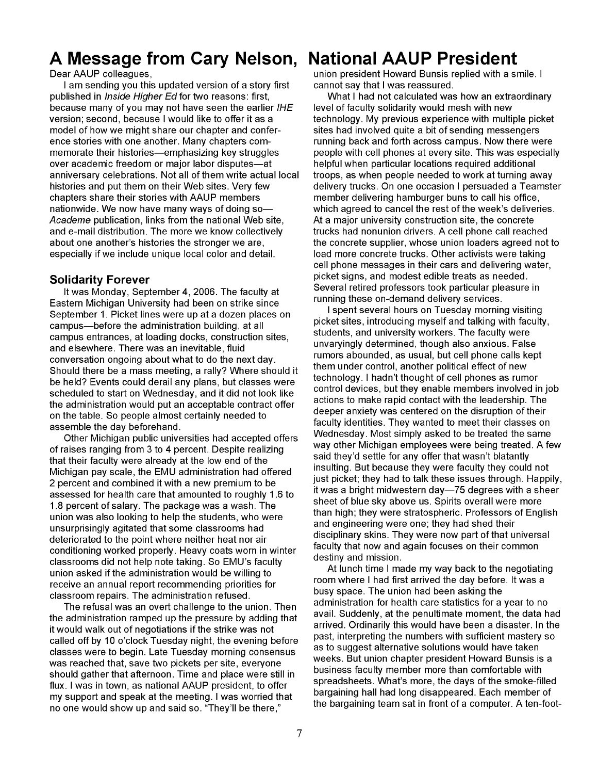# **A Message from Cary Nelson,**

Dear AAUP colleagues,

I am sending you this updated version of a story first published in *Inside Higher Ed* for two reasons: first, because many of you may not have seen the earlier IHE version; second, because I would like to offer it as a model of how we might share our chapter and conference stories with one another. Many chapters commemorate their histories-emphasizing key struggles over academic freedom or major labor disputes-at anniversary celebrations. Not all of them write actual local histories and put them on their Web sites. Very few chapters share their stories with AAUP members nationwide. We now have many ways of doing so-Academe publication, links from the national Web site, and e-mail distribution. The more we know collectively about one another's histories the stronger we are, especially if we include unique local color and detail.

#### **Solidarity Forever**

It was Monday, September 4,2006. The faculty at Eastern Michigan University had been on strike since September 1. Picket lines were up at a dozen places on campus-before the administration building, at all campus entrances, at loading docks, construction sites, and elsewhere. There was an inevitable, fluid conversation ongoing about what to do the next day. Should there be a mass meeting, a rally? Where should it be held? Events could derail any plans, but classes were scheduled to start on Wednesday, and it did not look like the administration would put an acceptable contract offer on the table. So people almost certainly needed to assemble the day beforehand.

Other Michigan public universities had accepted offers of raises ranging from 3 to 4 percent. Despite realizing that their faculty were already at the low end of the Michigan pay scale, the EMU administration had offered 2 percent and combined it with a new premium to be assessed for health care that amounted to roughly 1.6 to 1.8 percent of salary. The package was a wash. The union was also looking to help the students, who were unsurprisingly agitated that some classrooms had deteriorated to the point where neither heat nor air conditioning worked properly. Heavy coats worn in winter classrooms did not help note taking. So EMU's faculty union asked if the administration would be willing to receive an annual report recommending priorities for classroom repairs. The administration refused.

The refusal was an overt challenge to the union. Then the administration ramped up the pressure by adding that it would walk out of negotiations if the strike was not called off by 10 o'clock Tuesday night, the evening before classes were to begin. Late Tuesday morning consensus was reached that, save two pickets per site, everyone should gather that afternoon. Time and place were still in flux. I was in town, as national AAUP president, to offer my support and speak at the meeting. I was worried that no one would show up and said so. "They'll be there,"

# **National AAUP President**

union president Howard Bunsis replied with a smile. I cannot say that I was reassured.

What I had not calculated was how an extraordinary level of faculty solidarity would mesh with new technology. My previous experience with multiple picket sites had involved quite a bit of sending messengers running back and forth across campus. Now there were people with cell phones at every site. This was especially helpful when particular locations required additional troops, as when people needed to work at turning away delivery trucks. On one occasion I persuaded a Teamster member delivering hamburger buns to call his office, which agreed to cancel the rest of the week's deliveries. At a major university construction site, the concrete trucks had nonunion drivers. A cell phone call reached the concrete supplier, whose union loaders agreed not to load more concrete trucks. Other activists were taking cell phone messages in their cars and delivering water, picket signs, and modest edible treats as needed. Several retired professors took particular pleasure in running these on-demand delivery services.

I spent several hours on Tuesday morning visiting picket sites, introducing myself and talking with faculty, students, and university workers. The faculty were unvaryingly determined, though also anxious. False rumors abounded, as usual, but cell phone calls kept them under control, another political effect of new technology. I hadn't thought of cell phones as rumor control devices, but they enable members involved in job actions to make rapid contact with the leadership. The deeper anxiety was centered on the disruption of their faculty identities. They wanted to meet their classes on Wednesday. Most simply asked to be treated the same way other Michigan employees were being treated. A few said they'd settle for any offer that wasn't blatantly insulting. But because they were faculty they could not just picket; they had to talk these issues through. Happily, it was a bright midwestern day-75 degrees with a sheer sheet of blue sky above us. Spirits overall were more than high; they were stratospheric. Professors of English and engineering were one; they had shed their disciplinary skins. They were now part of that universal faculty that now and again focuses on their common destiny and mission.

At lunch time I made my way back to the negotiating room where I had first arrived the day before. It was a busy space. The union had been asking the administration for health care statistics for a year to no avail. Suddenly, at the penultimate moment, the data had arrived. Ordinarily this would have been a disaster. In the past, interpreting the numbers with sufficient mastery so as to suggest alternative solutions would have taken weeks. But union chapter president Howard Bunsis is a business faculty member more than comfortable with spreadsheets. What's more, the days of the smoke-filled bargaining hall had long disappeared. Each member of the bargaining team sat in front of a computer. A ten-foot